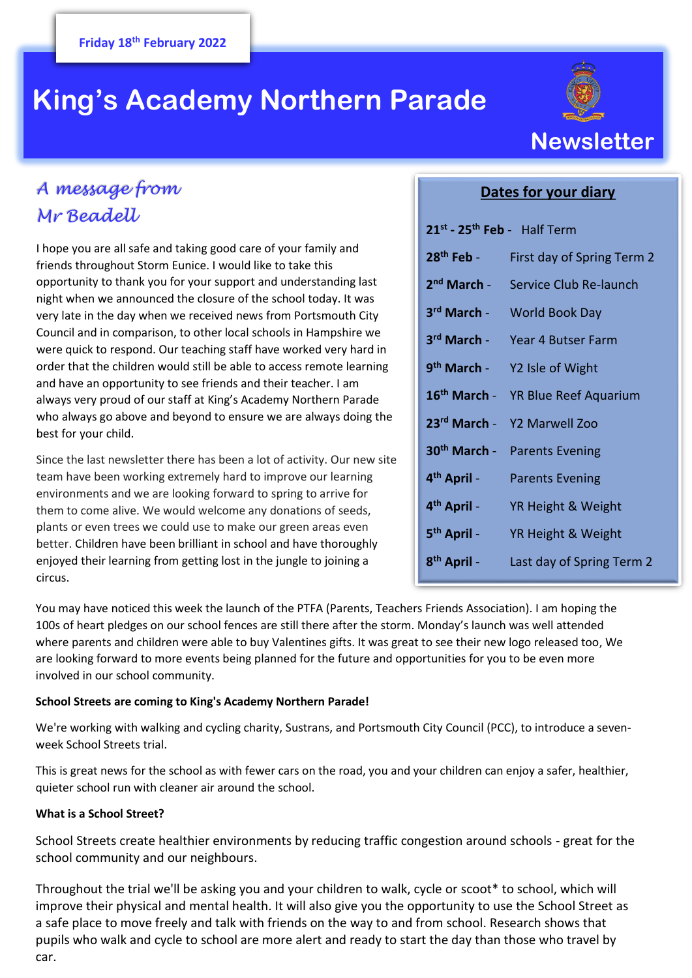# **King's Academy Northern Parade**



## *A message from Mr Beadell*

I hope you are all safe and taking good care of your family and friends throughout Storm Eunice. I would like to take this opportunity to thank you for your support and understanding last night when we announced the closure of the school today. It was very late in the day when we received news from Portsmouth City Council and in comparison, to other local schools in Hampshire we were quick to respond. Our teaching staff have worked very hard in order that the children would still be able to access remote learning and have an opportunity to see friends and their teacher. I am always very proud of our staff at King's Academy Northern Parade who always go above and beyond to ensure we are always doing the best for your child.

Since the last newsletter there has been a lot of activity. Our new site team have been working extremely hard to improve our learning environments and we are looking forward to spring to arrive for them to come alive. We would welcome any donations of seeds, plants or even trees we could use to make our green areas even better. Children have been brilliant in school and have thoroughly enjoyed their learning from getting lost in the jungle to joining a circus.

### **Dates for your diary**

| 21 <sup>st</sup> - 25 <sup>th</sup> Feb - Half Term |                                                |
|-----------------------------------------------------|------------------------------------------------|
| $28th$ Feb -                                        | First day of Spring Term 2                     |
| 2 <sup>nd</sup> March -                             | Service Club Re-launch                         |
| 3rd March -                                         | <b>World Book Day</b>                          |
|                                                     | 3rd March - Year 4 Butser Farm                 |
|                                                     | 9 <sup>th</sup> March - Y2 Isle of Wight       |
|                                                     | 16 <sup>th</sup> March - YR Blue Reef Aquarium |
|                                                     | 23rd March - Y2 Marwell Zoo                    |
| 30 <sup>th</sup> March -                            | <b>Parents Evening</b>                         |
| 4 <sup>th</sup> April -                             | <b>Parents Evening</b>                         |
| 4 <sup>th</sup> April -                             | YR Height & Weight                             |
| 5 <sup>th</sup> April -                             | YR Height & Weight                             |
| 8 <sup>th</sup> April -                             | Last day of Spring Term 2                      |

You may have noticed this week the launch of the PTFA (Parents, Teachers Friends Association). I am hoping the 100s of heart pledges on our school fences are still there after the storm. Monday's launch was well attended where parents and children were able to buy Valentines gifts. It was great to see their new logo released too, We are looking forward to more events being planned for the future and opportunities for you to be even more involved in our school community.

#### **School Streets are coming to King's Academy Northern Parade!**

We're working with walking and cycling charity, Sustrans, and Portsmouth City Council (PCC), to introduce a sevenweek School Streets trial.

This is great news for the school as with fewer cars on the road, you and your children can enjoy a safer, healthier, quieter school run with cleaner air around the school.

#### **What is a School Street?**

School Streets create healthier environments by reducing traffic congestion around schools - great for the school community and our neighbours.

Throughout the trial we'll be asking you and your children to walk, cycle or scoot\* to school, which will improve their physical and mental health. It will also give you the opportunity to use the School Street as a safe place to move freely and talk with friends on the way to and from school. Research shows that pupils who walk and cycle to school are more alert and ready to start the day than those who travel by car.